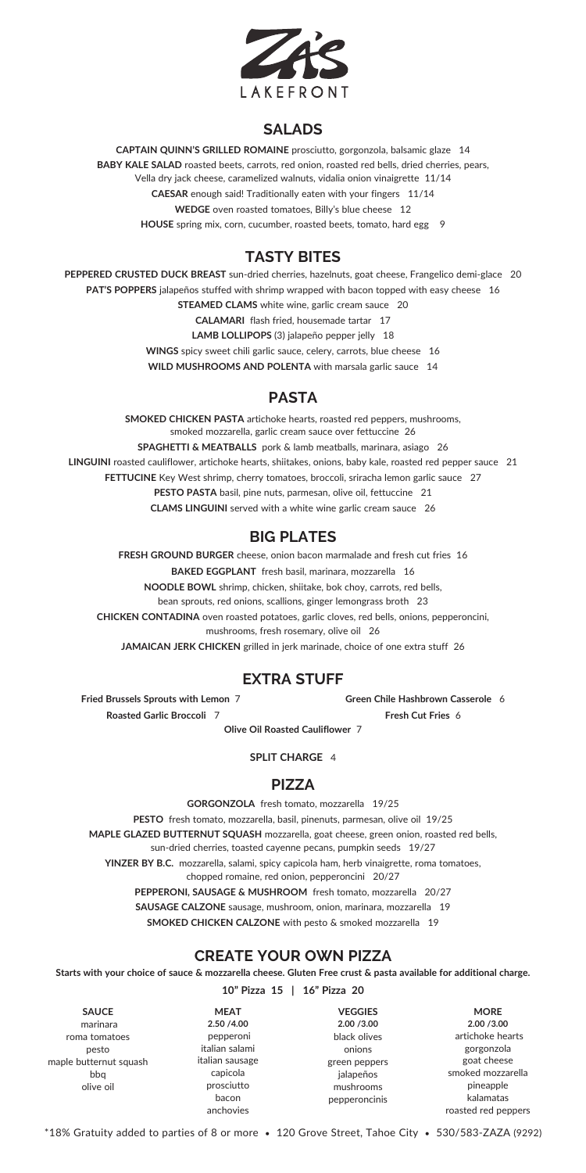

### **SALADS**

**CAPTAIN QUINN'S GRILLED ROMAINE** prosciutto, gorgonzola, balsamic glaze 14 **BABY KALE SALAD** roasted beets, carrots, red onion, roasted red bells, dried cherries, pears, Vella dry jack cheese, caramelized walnuts, vidalia onion vinaigrette 11/14 **CAESAR** enough said! Traditionally eaten with your fingers 11/14 **WEDGE** oven roasted tomatoes, Billy's blue cheese 12 **HOUSE** spring mix, corn, cucumber, roasted beets, tomato, hard egg 9

# **TASTY BITES**

**PEPPERED CRUSTED DUCK BREAST** sun-dried cherries, hazelnuts, goat cheese, Frangelico demi-glace 20 **PAT'S POPPERS** jalapeños stuffed with shrimp wrapped with bacon topped with easy cheese 16 **STEAMED CLAMS** white wine, garlic cream sauce 20 **CALAMARI** flash fried, housemade tartar 17 **LAMB LOLLIPOPS** (3) jalapeño pepper jelly 18 **WINGS** spicy sweet chili garlic sauce, celery, carrots, blue cheese 16 **WILD MUSHROOMS AND POLENTA** with marsala garlic sauce 14

# **PASTA**

**SMOKED CHICKEN PASTA** artichoke hearts, roasted red peppers, mushrooms, smoked mozzarella, garlic cream sauce over fettuccine 26

**SPAGHETTI & MEATBALLS** pork & lamb meatballs, marinara, asiago 26 **LINGUINI** roasted cauliflower, artichoke hearts, shiitakes, onions, baby kale, roasted red pepper sauce 21

**FETTUCINE** Key West shrimp, cherry tomatoes, broccoli, sriracha lemon garlic sauce 27

**PESTO PASTA** basil, pine nuts, parmesan, olive oil, fettuccine 21

**CLAMS LINGUINI** served with a white wine garlic cream sauce 26

\*18% Gratuity added to parties of 8 or more • 120 Grove Street, Tahoe City • 530/583-ZAZA (9292)

# **EXTRA STUFF**

## **PIZZA**

**GORGONZOLA** fresh tomato, mozzarella 19/25

**PESTO** fresh tomato, mozzarella, basil, pinenuts, parmesan, olive oil 19/25

**MAPLE GLAZED BUTTERNUT SQUASH** mozzarella, goat cheese, green onion, roasted red bells,

sun-dried cherries, toasted cayenne pecans, pumpkin seeds 19/27

**YINZER BY B.C.** mozzarella, salami, spicy capicola ham, herb vinaigrette, roma tomatoes, chopped romaine, red onion, pepperoncini 20/27 **PEPPERONI, SAUSAGE & MUSHROOM** fresh tomato, mozzarella 20/27 **SAUSAGE CALZONE** sausage, mushroom, onion, marinara, mozzarella 19 **SMOKED CHICKEN CALZONE** with pesto & smoked mozzarella 19

#### **CREATE YOUR OWN PIZZA**

**Starts with your choice of sauce & mozzarella cheese. Gluten Free crust & pasta available for additional charge.**

**10" Pizza 15 | 16" Pizza 20**

| <b>SAUCE</b>           | <b>MEAT</b>     | <b>VEGGIES</b> | <b>MORE</b>         |
|------------------------|-----------------|----------------|---------------------|
| marinara               | 2.50 /4.00      | 2.00 / 3.00    | 2.00 / 3.00         |
| roma tomatoes          | pepperoni       | black olives   | artichoke hearts    |
| pesto                  | italian salami  | onions         | gorgonzola          |
| maple butternut squash | italian sausage | green peppers  | goat cheese         |
| bbq                    | capicola        | jalapeños      | smoked mozzarella   |
| olive oil              | prosciutto      | mushrooms      | pineapple           |
|                        | bacon           | pepperoncinis  | kalamatas           |
|                        | anchovies       |                | roasted red peppers |
|                        |                 |                |                     |

## **BIG PLATES**

**FRESH GROUND BURGER** cheese, onion bacon marmalade and fresh cut fries 16

**BAKED EGGPLANT** fresh basil, marinara, mozzarella 16

**NOODLE BOWL** shrimp, chicken, shiitake, bok choy, carrots, red bells, bean sprouts, red onions, scallions, ginger lemongrass broth 23

**CHICKEN CONTADINA** oven roasted potatoes, garlic cloves, red bells, onions, pepperoncini, mushrooms, fresh rosemary, olive oil 26

**JAMAICAN JERK CHICKEN** grilled in jerk marinade, choice of one extra stuff 26

**Roasted Garlic Broccoli** 7 **Fresh Cut Fries** 6

**Fried Brussels Sprouts with Lemon** 7 **Green Chile Hashbrown Casserole** 6

#### **SPLIT CHARGE** 4

**Olive Oil Roasted Cauliflower** 7